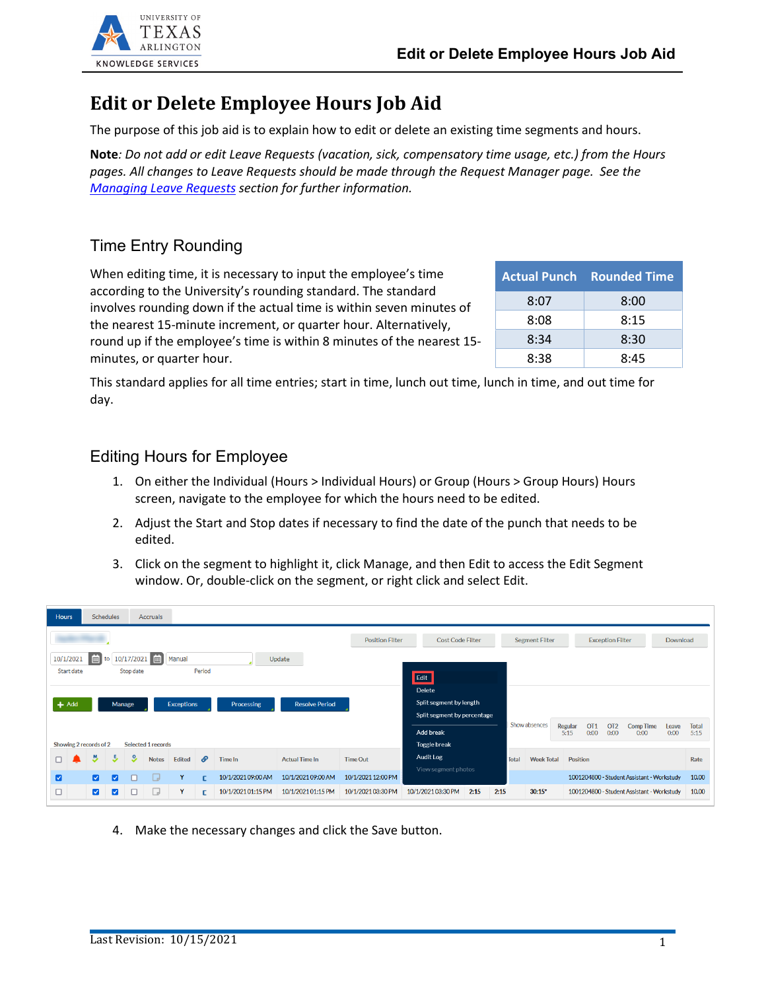

## **Edit or Delete Employee Hours Job Aid**

The purpose of this job aid is to explain how to edit or delete an existing time segments and hours.

**Note***: Do not add or edit Leave Requests (vacation, sick, compensatory time usage, etc.) from the Hours pages. All changes to Leave Requests should be made through the Request Manager page. See the Managing Leave Requests section for further information.*

## Time Entry Rounding

When editing time, it is necessary to input the employee's time according to the University's rounding standard. The standard involves rounding down if the actual time is within seven minutes of the nearest 15-minute increment, or quarter hour. Alternatively, round up if the employee's time is within 8 minutes of the nearest 15 minutes, or quarter hour.

|      | <b>Actual Punch Rounded Time</b> |
|------|----------------------------------|
| 8:07 | 8:00                             |
| 8:08 | 8:15                             |
| 8:34 | 8:30                             |
| 8:38 | 8:45                             |

This standard applies for all time entries; start in time, lunch out time, lunch in time, and out time for day.

## Editing Hours for Employee

- 1. On either the Individual (Hours > Individual Hours) or Group (Hours > Group Hours) Hours screen, navigate to the employee for which the hours need to be edited.
- 2. Adjust the Start and Stop dates if necessary to find the date of the punch that needs to be edited.
- 3. Click on the segment to highlight it, click Manage, and then Edit to access the Edit Segment window. Or, double-click on the segment, or right click and select Edit.

|   | <b>Schedules</b><br><b>Hours</b><br><b>Accruals</b>                           |                         |                         |          |              |                             |    |                         |                         |                       |                                     |      |              |                                            |                 |                                                    |                          |               |               |
|---|-------------------------------------------------------------------------------|-------------------------|-------------------------|----------|--------------|-----------------------------|----|-------------------------|-------------------------|-----------------------|-------------------------------------|------|--------------|--------------------------------------------|-----------------|----------------------------------------------------|--------------------------|---------------|---------------|
|   |                                                                               |                         |                         |          |              |                             |    | <b>Position Filter</b>  | <b>Cost Code Filter</b> | <b>Segment Filter</b> | <b>Exception Filter</b><br>Download |      |              |                                            |                 |                                                    |                          |               |               |
|   | 画<br>10/1/2021<br>10/17/2021<br>Manual<br>Update<br>to                        |                         |                         |          |              |                             |    |                         |                         |                       |                                     |      |              |                                            |                 |                                                    |                          |               |               |
|   | Period<br>Start date<br>Stop date<br>Edit                                     |                         |                         |          |              |                             |    |                         |                         |                       |                                     |      |              |                                            |                 |                                                    |                          |               |               |
|   |                                                                               |                         |                         |          |              |                             |    | Delete                  |                         |                       |                                     |      |              |                                            |                 |                                                    |                          |               |               |
|   | $+$ Add<br><b>Resolve Period</b><br>Manage<br><b>Exceptions</b><br>Processing |                         |                         |          |              |                             |    | Split segment by length |                         |                       |                                     |      |              |                                            |                 |                                                    |                          |               |               |
|   |                                                                               |                         |                         |          |              | Split segment by percentage |    |                         |                         |                       |                                     |      |              |                                            |                 |                                                    |                          |               |               |
|   |                                                                               |                         |                         |          |              |                             |    |                         |                         |                       | Add break                           |      |              | Show absences                              | Regular<br>5:15 | OT <sub>2</sub><br>OT <sub>1</sub><br>0:00<br>0:00 | <b>Comp Time</b><br>0:00 | Leave<br>0:00 | Total<br>5:15 |
|   | Selected 1 records<br>Showing 2 records of 2                                  |                         |                         |          |              |                             |    | <b>Toggle break</b>     |                         |                       |                                     |      |              |                                            |                 |                                                    |                          |               |               |
|   |                                                                               | Y.                      | ى                       | <u>s</u> | <b>Notes</b> | <b>Edited</b>               | o. | <b>Time In</b>          | <b>Actual Time In</b>   | <b>Time Out</b>       | Audit Log                           |      | <b>Total</b> | <b>Week Total</b>                          | <b>Position</b> |                                                    |                          |               | Rate          |
|   |                                                                               |                         |                         |          |              |                             |    |                         |                         |                       | View segment photos                 |      |              |                                            |                 |                                                    |                          |               |               |
| ø |                                                                               | M                       | $\overline{\mathbf{z}}$ |          | L            | Y                           |    | 10/1/2021 09:00 AM      | 10/1/2021 09:00 AM      | 10/1/2021 12:00 PM    |                                     |      |              | 1001204800 - Student Assistant - Workstudy |                 |                                                    |                          | 10.00         |               |
|   |                                                                               | $\overline{\mathbf{v}}$ | M                       | □        | Ld           | Υ                           |    | 10/1/2021 01:15 PM      | 10/1/2021 01:15 PM      | 10/1/2021 03:30 PM    | 10/1/2021 03:30 PM                  | 2:15 | 2:15         | $30:15*$                                   |                 | 1001204800 - Student Assistant - Workstudy         |                          |               | 10.00         |

4. Make the necessary changes and click the Save button.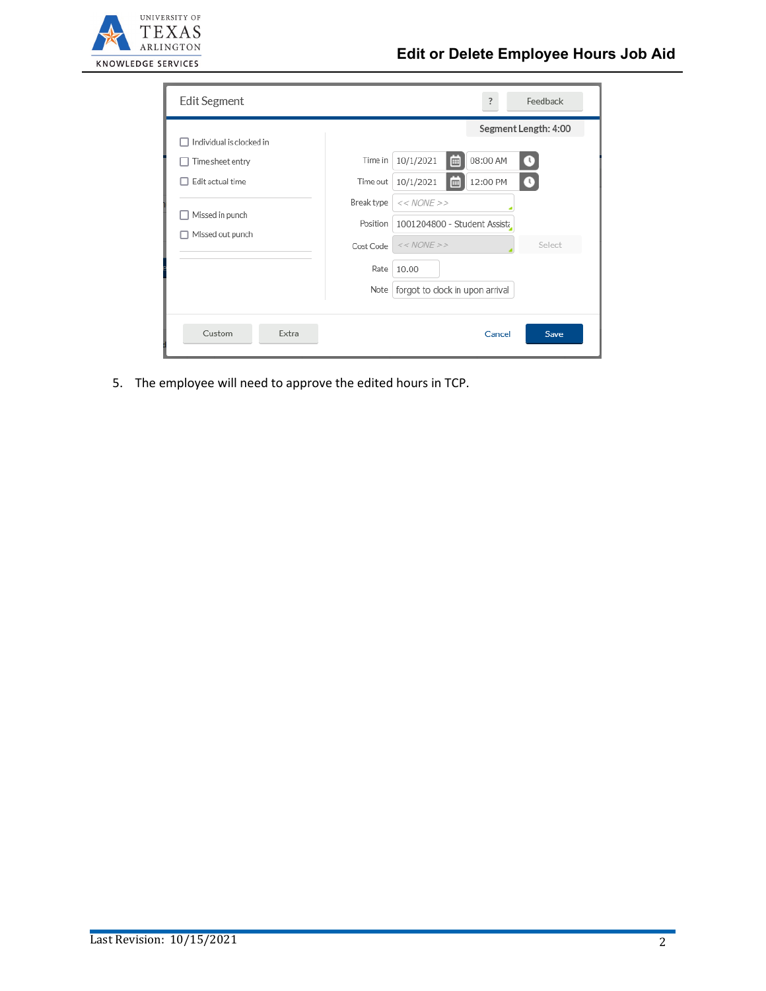

| Edit Segment             | Feedback<br>?                                          |
|--------------------------|--------------------------------------------------------|
| Individual is clocked in | Segment Length: 4:00                                   |
| Time sheet entry         | 10/1/2021<br>08:00 AM<br>Time in<br>$\mathbf{u}$<br>E  |
| Edit actual time         | 12:00 PM<br>10/1/2021<br>Time out<br>$\mathbf{U}$<br>E |
|                          | Break type<br>$<< NONE$ >>                             |
| Missed in punch          | Position<br>1001204800 - Student Assista               |
| Missed out punch         | $<< NONE$ >><br>Select<br>Cost Code                    |
|                          | Rate<br>10.00                                          |
|                          | forgot to clock in upon arrival<br>Note                |
|                          |                                                        |
| Custom<br>Extra          | Save<br>Cancel                                         |

5. The employee will need to approve the edited hours in TCP.